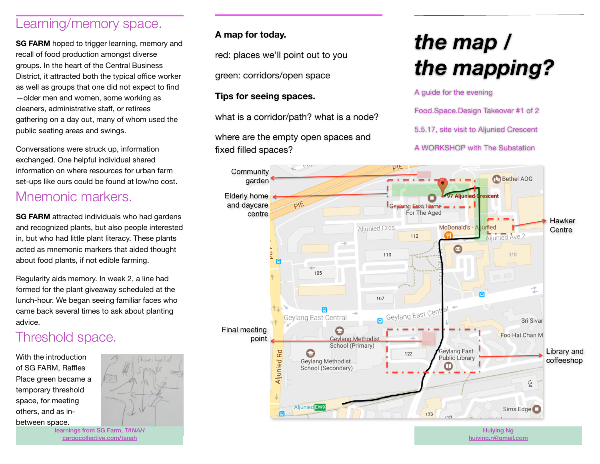### Learning/memory space.

**SG FARM** hoped to trigger learning, memory and recall of food production amongst diverse groups. In the heart of the Central Business District, it attracted both the typical office worker as well as groups that one did not expect to find —older men and women, some working as cleaners, administrative staff, or retirees gathering on a day out, many of whom used the public seating areas and swings.

Conversations were struck up, information exchanged. One helpful individual shared information on where resources for urban farm set-ups like ours could be found at low/no cost.

## Mnemonic markers.

**SG FARM** attracted individuals who had gardens and recognized plants, but also people interested in, but who had little plant literacy. These plants acted as mnemonic markers that aided thought about food plants, if not edible farming.

Regularity aids memory. In week 2, a line had formed for the plant giveaway scheduled at the lunch-hour. We began seeing familiar faces who came back several times to ask about planting advice.

## Threshold space.

With the introduction of SG FARM, Raffles Place green became a temporary threshold space, for meeting others, and as inbetween space.



learnings from SG Farm, *TANAH* [cargocollective.com/tanah](http://cargocollective.com/tanah)

#### **A map for today.**

red: places we'll point out to you

green: corridors/open space

#### **Tips for seeing spaces.**

what is a corridor/path? what is a node?

where are the empty open spaces and fixed filled spaces?

# *the map / the mapping?*

A guide for the evening

Food.Space.Design Takeover #1 of 2

5.5.17, site visit to Aljunied Crescent

A WORKSHOP with The Substation



[huiying.n@gmail.com](mailto:huiying.n@gmail.com)